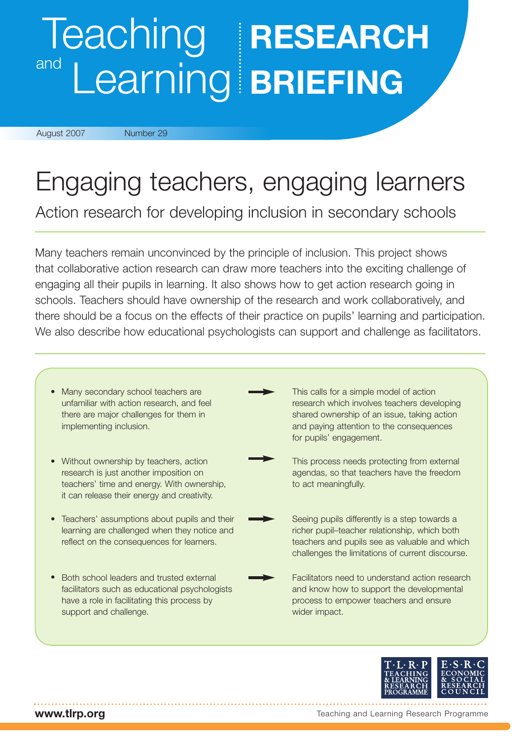# Teaching **RESEARCH** and Learning **BRIEFING**

August 2007 Number 29

# Engaging teachers, engaging learners

Action research for developing inclusion in secondary schools

Many teachers remain unconvinced by the principle of inclusion. This project shows that collaborative action research can draw more teachers into the exciting challenge of engaging all their pupils in learning. It also shows how to get action research going in schools. Teachers should have ownership of the research and work collaboratively, and there should be a focus on the effects of their practice on pupils' learning and participation. We also describe how educational psychologists can support and challenge as facilitators.

• Many secondary school teachers are unfamiliar with action research, and feel there are major challenges for them in implementing inclusion. • Without ownership by teachers, action • Teachers' assumptions about pupils and their • Both school leaders and trusted external research is just another imposition on teachers' time and energy. With ownership, it can release their energy and creativity. This process needs protecting from external agendas, so that teachers have the freedom to act meaningfully. Seeing pupils differently is a step towards a richer pupil–teacher relationship, which both teachers and pupils see as valuable and which challenges the limitations of current discourse. learning are challenged when they notice and reflect on the consequences for learners. This calls for a simple model of action research which involves teachers developing shared ownership of an issue, taking action and paying attention to the consequences for pupils' engagement. Facilitators need to understand action research and know how to support the developmental process to empower teachers and ensure wider impact. facilitators such as educational psychologists have a role in facilitating this process by support and challenge.



**www.tlrp.org**

Teaching and Learning Research Programme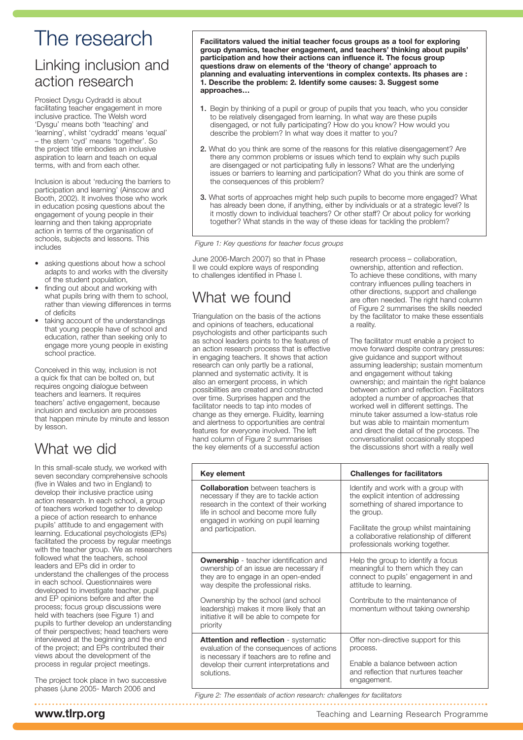## The research

### Linking inclusion and action research

Prosiect Dysgu Cydradd is about facilitating teacher engagement in more inclusive practice. The Welsh word 'Dysgu' means both 'teaching' and 'learning', whilst 'cydradd' means 'equal' – the stem 'cyd' means 'together'. So the project title embodies an inclusive aspiration to learn and teach on equal terms, with and from each other.

Inclusion is about 'reducing the barriers to participation and learning' (Ainscow and Booth, 2002). It involves those who work in education posing questions about the engagement of young people in their learning and then taking appropriate action in terms of the organisation of schools, subjects and lessons. This includes

- asking questions about how a school adapts to and works with the diversity of the student population,
- finding out about and working with what pupils bring with them to school, rather than viewing differences in terms of deficits
- taking account of the understandings that young people have of school and education, rather than seeking only to engage more young people in existing school practice.

Conceived in this way, inclusion is not a quick fix that can be bolted on, but requires ongoing dialogue between teachers and learners. It requires teachers' active engagement, because inclusion and exclusion are processes that happen minute by minute and lesson by lesson.

## What we did

In this small-scale study, we worked with seven secondary comprehensive schools (five in Wales and two in England) to develop their inclusive practice using action research. In each school, a group of teachers worked together to develop a piece of action research to enhance pupils' attitude to and engagement with learning. Educational psychologists (EPs) facilitated the process by regular meetings with the teacher group. We as researchers followed what the teachers, school leaders and EPs did in order to understand the challenges of the process in each school. Questionnaires were developed to investigate teacher, pupil and EP opinions before and after the process; focus group discussions were held with teachers (see Figure 1) and pupils to further develop an understanding of their perspectives; head teachers were interviewed at the beginning and the end of the project; and EPs contributed their views about the development of the process in regular project meetings.

The project took place in two successive phases (June 2005- March 2006 and

**Facilitators valued the initial teacher focus groups as a tool for exploring group dynamics, teacher engagement, and teachers' thinking about pupils' participation and how their actions can influence it. The focus group questions draw on elements of the 'theory of change' approach to planning and evaluating interventions in complex contexts. Its phases are : 1. Describe the problem: 2. Identify some causes: 3. Suggest some approaches…**

- **1.** Begin by thinking of a pupil or group of pupils that you teach, who you consider to be relatively disengaged from learning. In what way are these pupils disengaged, or not fully participating? How do you know? How would you describe the problem? In what way does it matter to you?
- **2.** What do you think are some of the reasons for this relative disengagement? Are there any common problems or issues which tend to explain why such pupils are disengaged or not participating fully in lessons? What are the underlying issues or barriers to learning and participation? What do you think are some of the consequences of this problem?
- **3.** What sorts of approaches might help such pupils to become more engaged? What has already been done, if anything, either by individuals or at a strategic level? Is it mostly down to individual teachers? Or other staff? Or about policy for working together? What stands in the way of these ideas for tackling the problem?

*Figure 1: Key questions for teacher focus groups*

June 2006-March 2007) so that in Phase II we could explore ways of responding to challenges identified in Phase I.

## What we found

Triangulation on the basis of the actions and opinions of teachers, educational psychologists and other participants such as school leaders points to the features of an action research process that is effective in engaging teachers. It shows that action research can only partly be a rational, planned and systematic activity. It is also an emergent process, in which possibilities are created and constructed over time. Surprises happen and the facilitator needs to tap into modes of change as they emerge. Fluidity, learning and alertness to opportunities are central features for everyone involved. The left hand column of Figure 2 summarises the key elements of a successful action

research process – collaboration, ownership, attention and reflection. To achieve these conditions, with many contrary influences pulling teachers in other directions, support and challenge are often needed. The right hand column of Figure 2 summarises the skills needed by the facilitator to make these essentials a reality.

The facilitator must enable a project to move forward despite contrary pressures: give guidance and support without assuming leadership; sustain momentum and engagement without taking ownership; and maintain the right balance between action and reflection. Facilitators adopted a number of approaches that worked well in different settings. The minute taker assumed a low-status role but was able to maintain momentum and direct the detail of the process. The conversationalist occasionally stopped the discussions short with a really well

| Key element                                                                                                                                                                                                                                                                                                       | <b>Challenges for facilitators</b>                                                                                                                                                                                                                        |
|-------------------------------------------------------------------------------------------------------------------------------------------------------------------------------------------------------------------------------------------------------------------------------------------------------------------|-----------------------------------------------------------------------------------------------------------------------------------------------------------------------------------------------------------------------------------------------------------|
| <b>Collaboration</b> between teachers is<br>necessary if they are to tackle action<br>research in the context of their working<br>life in school and become more fully<br>engaged in working on pupil learning<br>and participation.                                                                              | Identify and work with a group with<br>the explicit intention of addressing<br>something of shared importance to<br>the group.<br>Facilitate the group whilst maintaining<br>a collaborative relationship of different<br>professionals working together. |
| <b>Ownership</b> - teacher identification and<br>ownership of an issue are necessary if<br>they are to engage in an open-ended<br>way despite the professional risks.<br>Ownership by the school (and school<br>leadership) makes it more likely that an<br>initiative it will be able to compete for<br>priority | Help the group to identify a focus<br>meaningful to them which they can<br>connect to pupils' engagement in and<br>attitude to learning.<br>Contribute to the maintenance of<br>momentum without taking ownership                                         |
| <b>Attention and reflection - systematic</b><br>evaluation of the consequences of actions<br>is necessary if teachers are to refine and<br>develop their current interpretations and<br>solutions.                                                                                                                | Offer non-directive support for this<br>process.<br>Enable a balance between action<br>and reflection that nurtures teacher<br>engagement.                                                                                                                |

*Figure 2: The essentials of action research: challenges for facilitators*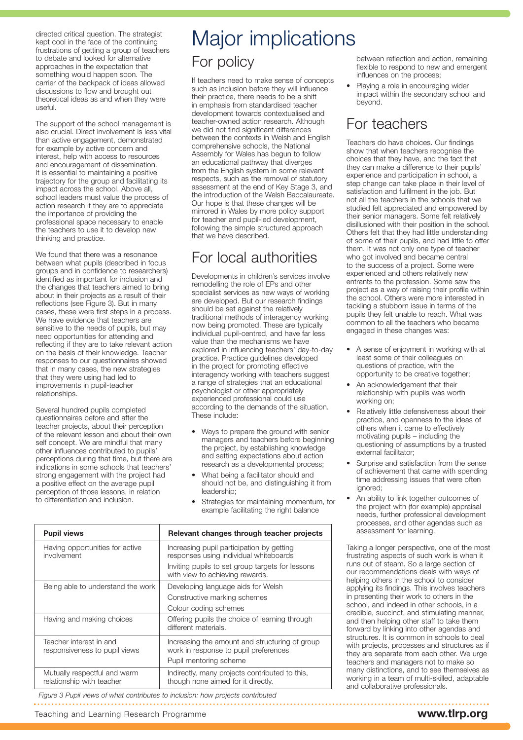directed critical question. The strategist kept cool in the face of the continuing frustrations of getting a group of teachers to debate and looked for alternative approaches in the expectation that something would happen soon. The carrier of the backpack of ideas allowed discussions to flow and brought out theoretical ideas as and when they were useful.

The support of the school management is also crucial. Direct involvement is less vital than active engagement, demonstrated for example by active concern and interest, help with access to resources and encouragement of dissemination. It is essential to maintaining a positive trajectory for the group and facilitating its impact across the school. Above all, school leaders must value the process of action research if they are to appreciate the importance of providing the professional space necessary to enable the teachers to use it to develop new thinking and practice.

We found that there was a resonance between what pupils (described in focus groups and in confidence to researchers) identified as important for inclusion and the changes that teachers aimed to bring about in their projects as a result of their reflections (see Figure 3). But in many cases, these were first steps in a process. We have evidence that teachers are sensitive to the needs of pupils, but may need opportunities for attending and reflecting if they are to take relevant action on the basis of their knowledge. Teacher responses to our questionnaires showed that in many cases, the new strategies that they were using had led to improvements in pupil-teacher relationships.

Several hundred pupils completed questionnaires before and after the teacher projects, about their perception of the relevant lesson and about their own self concept. We are mindful that many other influences contributed to pupils' perceptions during that time, but there are indications in some schools that teachers' strong engagement with the project had a positive effect on the average pupil perception of those lessons, in relation to differentiation and inclusion.

# Major implications For policy

If teachers need to make sense of concepts such as inclusion before they will influence their practice, there needs to be a shift in emphasis from standardised teacher development towards contextualised and teacher-owned action research. Although we did not find significant differences between the contexts in Welsh and English comprehensive schools, the National Assembly for Wales has begun to follow an educational pathway that diverges from the English system in some relevant respects, such as the removal of statutory assessment at the end of Key Stage 3, and the introduction of the Welsh Baccalaureate. Our hope is that these changes will be mirrored in Wales by more policy support for teacher and pupil-led development. following the simple structured approach that we have described.

#### For local authorities

Developments in children's services involve remodelling the role of EPs and other specialist services as new ways of working are developed. But our research findings should be set against the relatively traditional methods of interagency working now being promoted. These are typically individual pupil-centred, and have far less value than the mechanisms we have explored in influencing teachers' day-to-day practice. Practice guidelines developed in the project for promoting effective interagency working with teachers suggest a range of strategies that an educational psychologist or other appropriately experienced professional could use according to the demands of the situation. These include:

- Ways to prepare the ground with senior managers and teachers before beginning the project, by establishing knowledge and setting expectations about action research as a developmental process;
- What being a facilitator should and should not be, and distinguishing it from leadership;
- Strategies for maintaining momentum, for example facilitating the right balance

| <b>Pupil views</b>                                        | Relevant changes through teacher projects                                               |
|-----------------------------------------------------------|-----------------------------------------------------------------------------------------|
| Having opportunities for active<br>involvement            | Increasing pupil participation by getting<br>responses using individual whiteboards     |
|                                                           | Inviting pupils to set group targets for lessons<br>with view to achieving rewards.     |
| Being able to understand the work                         | Developing language aids for Welsh                                                      |
|                                                           | Constructive marking schemes                                                            |
|                                                           | Colour coding schemes                                                                   |
| Having and making choices                                 | Offering pupils the choice of learning through<br>different materials.                  |
| Teacher interest in and<br>responsiveness to pupil views  | Increasing the amount and structuring of group<br>work in response to pupil preferences |
|                                                           | Pupil mentoring scheme                                                                  |
| Mutually respectful and warm<br>relationship with teacher | Indirectly, many projects contributed to this,<br>though none aimed for it directly.    |

*Figure 3 Pupil views of what contributes to inclusion: how projects contributed*

between reflection and action, remaining flexible to respond to new and emergent influences on the process;

Playing a role in encouraging wider impact within the secondary school and beyond.

#### For teachers

Teachers do have choices. Our findings show that when teachers recognise the choices that they have, and the fact that they can make a difference to their pupils' experience and participation in school, a step change can take place in their level of satisfaction and fulfilment in the job. But not all the teachers in the schools that we studied felt appreciated and empowered by their senior managers. Some felt relatively disillusioned with their position in the school. Others felt that they had little understanding of some of their pupils, and had little to offer them. It was not only one type of teacher who got involved and became central to the success of a project. Some were experienced and others relatively new entrants to the profession. Some saw the project as a way of raising their profile within the school. Others were more interested in tackling a stubborn issue in terms of the pupils they felt unable to reach. What was common to all the teachers who became engaged in these changes was:

- A sense of enjoyment in working with at least some of their colleagues on questions of practice, with the opportunity to be creative together;
- An acknowledgement that their relationship with pupils was worth working on;
- Relatively little defensiveness about their practice, and openness to the ideas of others when it came to effectively motivating pupils – including the questioning of assumptions by a trusted external facilitator;
- Surprise and satisfaction from the sense of achievement that came with spending time addressing issues that were often ignored;
- An ability to link together outcomes of the project with (for example) appraisal needs, further professional development processes, and other agendas such as assessment for learning.

Taking a longer perspective, one of the most frustrating aspects of such work is when it runs out of steam. So a large section of our recommendations deals with ways of helping others in the school to consider applying its findings. This involves teachers in presenting their work to others in the school, and indeed in other schools, in a credible, succinct, and stimulating manner, and then helping other staff to take them forward by linking into other agendas and structures. It is common in schools to deal with projects, processes and structures as if they are separate from each other. We urge teachers and managers not to make so many distinctions, and to see themselves as working in a team of multi-skilled, adaptable and collaborative professionals.

Teaching and Learning Research Programme **www.tlrp.org**